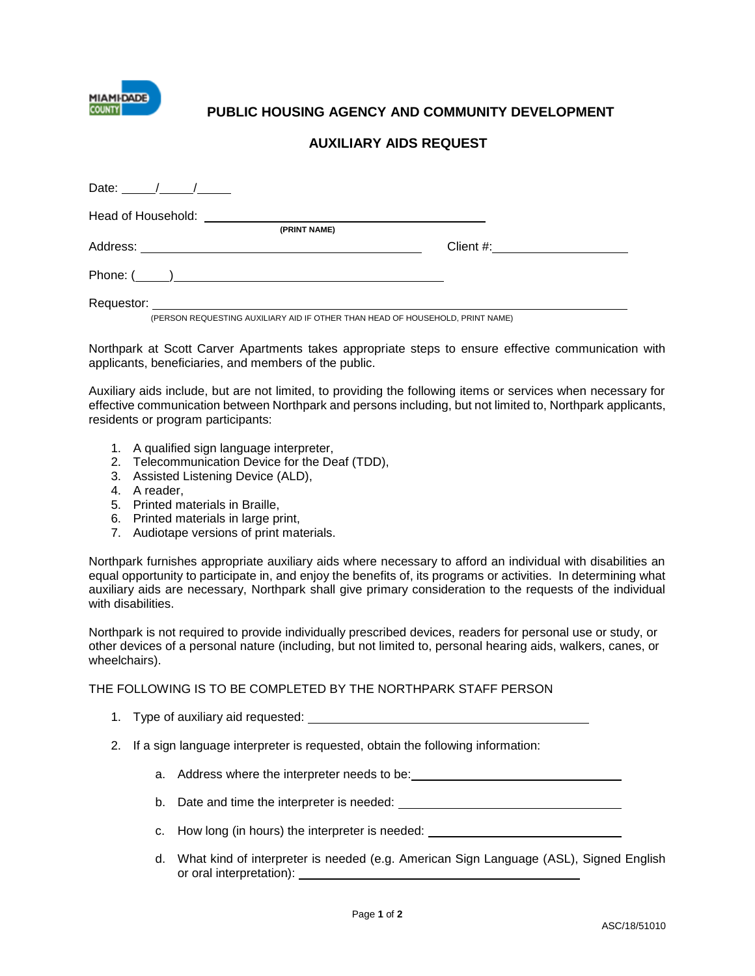

## **PUBLIC HOUSING AGENCY AND COMMUNITY DEVELOPMENT**

## **AUXILIARY AIDS REQUEST**

| Date: $\frac{1}{\sqrt{1-\frac{1}{2}}}\frac{1}{\sqrt{1-\frac{1}{2}}}\frac{1}{\sqrt{1-\frac{1}{2}}}\frac{1}{\sqrt{1-\frac{1}{2}}}\frac{1}{\sqrt{1-\frac{1}{2}}}\frac{1}{\sqrt{1-\frac{1}{2}}}\frac{1}{\sqrt{1-\frac{1}{2}}}\frac{1}{\sqrt{1-\frac{1}{2}}}\frac{1}{\sqrt{1-\frac{1}{2}}}\frac{1}{\sqrt{1-\frac{1}{2}}}\frac{1}{\sqrt{1-\frac{1}{2}}}\frac{1}{\sqrt{1-\frac{1}{2}}}\frac{1}{\sqrt{1-\frac{1}{2}}}\frac{1}{\$ |              |           |  |
|--------------------------------------------------------------------------------------------------------------------------------------------------------------------------------------------------------------------------------------------------------------------------------------------------------------------------------------------------------------------------------------------------------------------------|--------------|-----------|--|
|                                                                                                                                                                                                                                                                                                                                                                                                                          |              |           |  |
|                                                                                                                                                                                                                                                                                                                                                                                                                          | (PRINT NAME) |           |  |
|                                                                                                                                                                                                                                                                                                                                                                                                                          |              | Client #: |  |
|                                                                                                                                                                                                                                                                                                                                                                                                                          |              |           |  |
|                                                                                                                                                                                                                                                                                                                                                                                                                          |              |           |  |

(PERSON REQUESTING AUXILIARY AID IF OTHER THAN HEAD OF HOUSEHOLD, PRINT NAME)

Northpark at Scott Carver Apartments takes appropriate steps to ensure effective communication with applicants, beneficiaries, and members of the public.

Auxiliary aids include, but are not limited, to providing the following items or services when necessary for effective communication between Northpark and persons including, but not limited to, Northpark applicants, residents or program participants:

- 1. A qualified sign language interpreter,
- 2. Telecommunication Device for the Deaf (TDD),
- 3. Assisted Listening Device (ALD),
- 4. A reader,
- 5. Printed materials in Braille,
- 6. Printed materials in large print,
- 7. Audiotape versions of print materials.

Northpark furnishes appropriate auxiliary aids where necessary to afford an individual with disabilities an equal opportunity to participate in, and enjoy the benefits of, its programs or activities. In determining what auxiliary aids are necessary, Northpark shall give primary consideration to the requests of the individual with disabilities.

Northpark is not required to provide individually prescribed devices, readers for personal use or study, or other devices of a personal nature (including, but not limited to, personal hearing aids, walkers, canes, or wheelchairs).

## THE FOLLOWING IS TO BE COMPLETED BY THE NORTHPARK STAFF PERSON

- 1. Type of auxiliary aid requested:
- 2. If a sign language interpreter is requested, obtain the following information:
	- a. Address where the interpreter needs to be:
	- b. Date and time the interpreter is needed:
	- c. How long (in hours) the interpreter is needed:
	- d. What kind of interpreter is needed (e.g. American Sign Language (ASL), Signed English or oral interpretation):